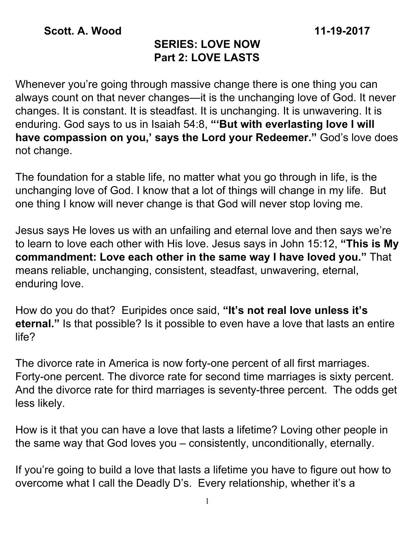## **SERIES: LOVE NOW Part 2: LOVE LASTS**

Whenever you're going through massive change there is one thing you can always count on that never changes—it is the unchanging love of God. It never changes. It is constant. It is steadfast. It is unchanging. It is unwavering. It is enduring. God says to us in Isaiah 54:8, **"'But with everlasting love I will have compassion on you, ' says the Lord your Redeemer."** God's love does not change.

The foundation for a stable life, no matter what you go through in life, is the unchanging love of God. I know that a lot of things will change in my life. But one thing I know will never change is that God will never stop loving me.

Jesus says He loves us with an unfailing and eternal love and then says we're to learn to love each other with His love. Jesus says in John 15:12, **"This is My commandment: Love each other in the same way I have loved you."** That means reliable, unchanging, consistent, steadfast, unwavering, eternal, enduring love.

How do you do that? Euripides once said, **"It's not real love unless it's eternal."** Is that possible? Is it possible to even have a love that lasts an entire life?

The divorce rate in America is now forty-one percent of all first marriages. Forty-one percent. The divorce rate for second time marriages is sixty percent. And the divorce rate for third marriages is seventy-three percent. The odds get less likely.

How is it that you can have a love that lasts a lifetime? Loving other people in the same way that God loves you – consistently, unconditionally, eternally.

If you're going to build a love that lasts a lifetime you have to figure out how to overcome what I call the Deadly D's. Every relationship, whether it's a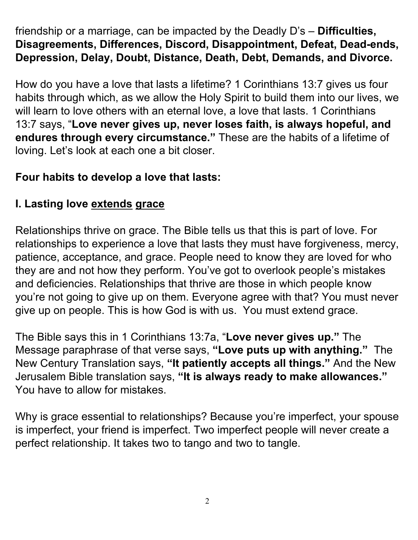friendship or a marriage, can be impacted by the Deadly D's – **Difficulties, Disagreements, Differences, Discord, Disappointment, Defeat, Dead-ends, Depression, Delay, Doubt, Distance, Death, Debt, Demands, and Divorce.**

How do you have a love that lasts a lifetime? 1 Corinthians 13:7 gives us four habits through which, as we allow the Holy Spirit to build them into our lives, we will learn to love others with an eternal love, a love that lasts. 1 Corinthians 13:7 says, "**Love never gives up, never loses faith, is always hopeful, and endures through every circumstance."** These are the habits of a lifetime of loving. Let's look at each one a bit closer.

## **Four habits to develop a love that lasts:**

# **I. Lasting love extends g race**

Relationships thrive on grace. The Bible tells us that this is part of love. For relationships to experience a love that lasts they must have forgiveness, mercy, patience, acceptance, and grace. People need to know they are loved for who they are and not how they perform. You've got to overlook people's mistakes and deficiencies. Relationships that thrive are those in which people know you're not going to give up on them. Everyone agree with that? You must never give up on people. This is how God is with us. You must extend grace.

The Bible says this in 1 Corinthians 13:7a, "**Love never gives up."** The Message paraphrase of that verse says, **"Love puts up with anything."** The New Century Translation says, **"It patiently accepts all things."** And the New Jerusalem Bible translation says, **"It is always ready to make allowances."** You have to allow for mistakes.

Why is grace essential to relationships? Because you're imperfect, your spouse is imperfect, your friend is imperfect. Two imperfect people will never create a perfect relationship. It takes two to tango and two to tangle.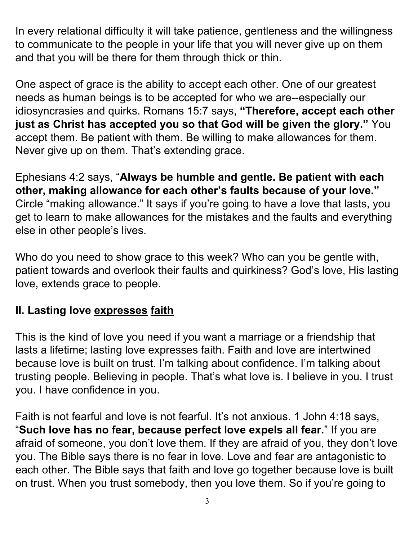In every relational difficulty it will take patience, gentleness and the willingness to communicate to the people in your life that you will never give up on them and that you will be there for them through thick or thin.

One aspect of grace is the ability to accept each other. One of our greatest needs as human beings is to be accepted for who we are--especially our idiosyncrasies and quirks. Romans 15:7 says, **"Therefore, accept each other just as Christ has accepted you so that God will be given the glory."** You accept them. Be patient with them. Be willing to make allowances for them. Never give up on them. That's extending grace.

Ephesians 4:2 says, "**Always be humble and gentle. Be patient with each other, making allowance for each other's faults because of your love."** Circle "making allowance." It says if you're going to have a love that lasts, you get to learn to make allowances for the mistakes and the faults and everything else in other people's lives.

Who do you need to show grace to this week? Who can you be gentle with, patient towards and overlook their faults and quirkiness? God's love, His lasting love, extends grace to people.

# **II. Lasting love expresses faith**

This is the kind of love you need if you want a marriage or a friendship that lasts a lifetime; lasting love expresses faith. Faith and love are intertwined because love is built on trust. I'm talking about confidence. I'm talking about trusting people. Believing in people. That's what love is. I believe in you. I trust you. I have confidence in you.

Faith is not fearful and love is not fearful. It's not anxious. 1 John 4:18 says, "**Such love has no fear, because perfect love expels all fear.**" If you are afraid of someone, you don't love them. If they are afraid of you, they don't love you. The Bible says there is no fear in love. Love and fear are antagonistic to each other. The Bible says that faith and love go together because love is built on trust. When you trust somebody, then you love them. So if you're going to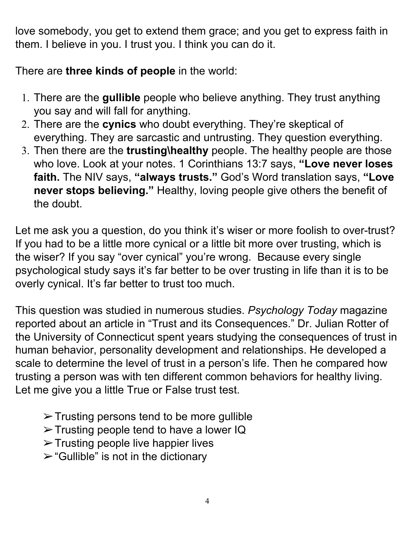love somebody, you get to extend them grace; and you get to express faith in them. I believe in you. I trust you. I think you can do it.

There are **three kinds of people** in the world:

- 1. There are the **gullible** people who believe anything. They trust anything you say and will fall for anything.
- 2. There are the **cynics** who doubt everything. They're skeptical of everything. They are sarcastic and untrusting. They question everything.
- 3. Then there are the **trusting\healthy** people. The healthy people are those who love. Look at your notes. 1 Corinthians 13:7 says, **"Love never loses faith.** The NIV says, **"always trusts."** God's Word translation says, **"Love never stops believing."** Healthy, loving people give others the benefit of the doubt.

Let me ask you a question, do you think it's wiser or more foolish to over-trust? If you had to be a little more cynical or a little bit more over trusting, which is the wiser? If you say "over cynical" you're wrong. Because every single psychological study says it's far better to be over trusting in life than it is to be overly cynical. It's far better to trust too much.

This question was studied in numerous studies. *Psychology Today* magazine reported about an article in "Trust and its Consequences." Dr. Julian Rotter of the University of Connecticut spent years studying the consequences of trust in human behavior, personality development and relationships. He developed a scale to determine the level of trust in a person's life. Then he compared how trusting a person was with ten different common behaviors for healthy living. Let me give you a little True or False trust test.

- $\triangleright$  Trusting persons tend to be more gullible
- ➢Trusting people tend to have a lower IQ
- $\triangleright$  Trusting people live happier lives
- $\triangleright$  "Gullible" is not in the dictionary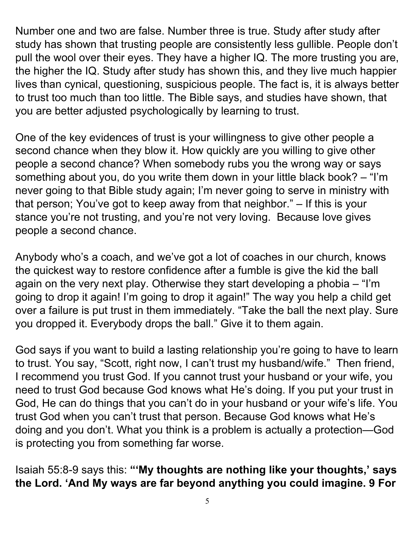Number one and two are false. Number three is true. Study after study after study has shown that trusting people are consistently less gullible. People don't pull the wool over their eyes. They have a higher IQ. The more trusting you are, the higher the IQ. Study after study has shown this, and they live much happier lives than cynical, questioning, suspicious people. The fact is, it is always better to trust too much than too little. The Bible says, and studies have shown, that you are better adjusted psychologically by learning to trust.

One of the key evidences of trust is your willingness to give other people a second chance when they blow it. How quickly are you willing to give other people a second chance? When somebody rubs you the wrong way or says something about you, do you write them down in your little black book? – "I'm never going to that Bible study again; I'm never going to serve in ministry with that person; You've got to keep away from that neighbor." – If this is your stance you're not trusting, and you're not very loving. Because love gives people a second chance.

Anybody who's a coach, and we've got a lot of coaches in our church, knows the quickest way to restore confidence after a fumble is give the kid the ball again on the very next play. Otherwise they start developing a phobia – "I'm going to drop it again! I'm going to drop it again!" The way you help a child get over a failure is put trust in them immediately. "Take the ball the next play. Sure you dropped it. Everybody drops the ball." Give it to them again.

God says if you want to build a lasting relationship you're going to have to learn to trust. You say, "Scott, right now, I can't trust my husband/wife." Then friend, I recommend you trust God. If you cannot trust your husband or your wife, you need to trust God because God knows what He's doing. If you put your trust in God, He can do things that you can't do in your husband or your wife's life. You trust God when you can't trust that person. Because God knows what He's doing and you don't. What you think is a problem is actually a protection—God is protecting you from something far worse.

Isaiah 55:8-9 says this: **"'My thoughts are nothing like your thoughts, ' says the Lord. 'And My ways are far beyond anything you could imagine. 9 For**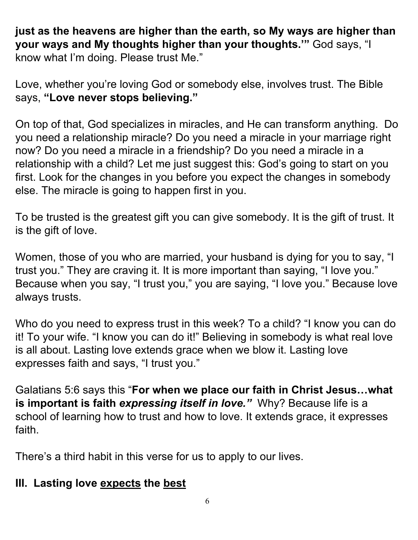**just as the heavens are higher than the earth, so My ways are higher than your ways and My thoughts higher than your thoughts.'"** God says, "I know what I'm doing. Please trust Me."

Love, whether you're loving God or somebody else, involves trust. The Bible says, **"Love never stops believing."**

On top of that, God specializes in miracles, and He can transform anything. Do you need a relationship miracle? Do you need a miracle in your marriage right now? Do you need a miracle in a friendship? Do you need a miracle in a relationship with a child? Let me just suggest this: God's going to start on you first. Look for the changes in you before you expect the changes in somebody else. The miracle is going to happen first in you.

To be trusted is the greatest gift you can give somebody. It is the gift of trust. It is the gift of love.

Women, those of you who are married, your husband is dying for you to say, "I trust you." They are craving it. It is more important than saying, "I love you." Because when you say, "I trust you," you are saying, "I love you." Because love always trusts.

Who do you need to express trust in this week? To a child? "I know you can do it! To your wife. "I know you can do it!" Believing in somebody is what real love is all about. Lasting love extends grace when we blow it. Lasting love expresses faith and says, "I trust you."

Galatians 5:6 says this "**For when we place our faith in Christ Jesus…what is important is faith** *expressing itself in love."* Why? Because life is a school of learning how to trust and how to love. It extends grace, it expresses faith.

There's a third habit in this verse for us to apply to our lives.

#### **III. Lasting love expects the best**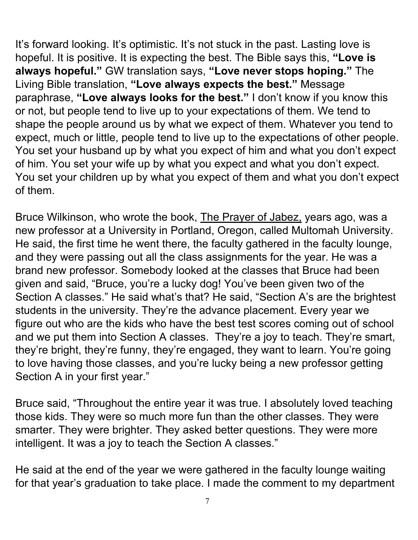It's forward looking. It's optimistic. It's not stuck in the past. Lasting love is hopeful. It is positive. It is expecting the best. The Bible says this, **"Love is always hopeful."** GW translation says, **"Love never stops hoping."** The Living Bible translation, **"Love always expects the best."** Message paraphrase, **"Love always looks for the best."** I don't know if you know this or not, but people tend to live up to your expectations of them. We tend to shape the people around us by what we expect of them. Whatever you tend to expect, much or little, people tend to live up to the expectations of other people. You set your husband up by what you expect of him and what you don't expect of him. You set your wife up by what you expect and what you don't expect. You set your children up by what you expect of them and what you don't expect of them.

Bruce Wilkinson, who wrote the book, The Prayer of Jabez, years ago, was a new professor at a University in Portland, Oregon, called Multomah University. He said, the first time he went there, the faculty gathered in the faculty lounge, and they were passing out all the class assignments for the year. He was a brand new professor. Somebody looked at the classes that Bruce had been given and said, "Bruce, you're a lucky dog! You've been given two of the Section A classes." He said what's that? He said, "Section A's are the brightest students in the university. They're the advance placement. Every year we figure out who are the kids who have the best test scores coming out of school and we put them into Section A classes. They're a joy to teach. They're smart, they're bright, they're funny, they're engaged, they want to learn. You're going to love having those classes, and you're lucky being a new professor getting Section A in your first year."

Bruce said, "Throughout the entire year it was true. I absolutely loved teaching those kids. They were so much more fun than the other classes. They were smarter. They were brighter. They asked better questions. They were more intelligent. It was a joy to teach the Section A classes."

He said at the end of the year we were gathered in the faculty lounge waiting for that year's graduation to take place. I made the comment to my department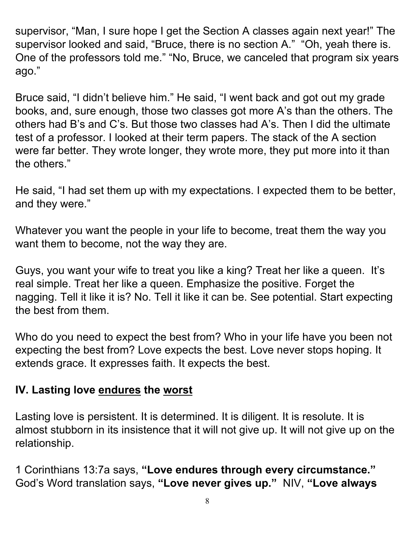supervisor, "Man, I sure hope I get the Section A classes again next year!" The supervisor looked and said, "Bruce, there is no section A." "Oh, yeah there is. One of the professors told me." "No, Bruce, we canceled that program six years ago."

Bruce said, "I didn't believe him." He said, "I went back and got out my grade books, and, sure enough, those two classes got more A's than the others. The others had B's and C's. But those two classes had A's. Then I did the ultimate test of a professor. I looked at their term papers. The stack of the A section were far better. They wrote longer, they wrote more, they put more into it than the others."

He said, "I had set them up with my expectations. I expected them to be better, and they were."

Whatever you want the people in your life to become, treat them the way you want them to become, not the way they are.

Guys, you want your wife to treat you like a king? Treat her like a queen. It's real simple. Treat her like a queen. Emphasize the positive. Forget the nagging. Tell it like it is? No. Tell it like it can be. See potential. Start expecting the best from them.

Who do you need to expect the best from? Who in your life have you been not expecting the best from? Love expects the best. Love never stops hoping. It extends grace. It expresses faith. It expects the best.

## **IV. Lasting love endures the worst**

Lasting love is persistent. It is determined. It is diligent. It is resolute. It is almost stubborn in its insistence that it will not give up. It will not give up on the relationship.

1 Corinthians 13:7a says, **"Love endures through every circumstance."** God's Word translation says, **"Love never gives up."** NIV, **"Love always**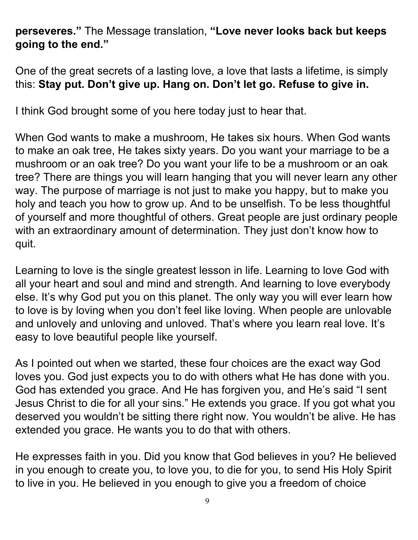## **perseveres."** The Message translation, **"Love never looks back but keeps going to the end."**

One of the great secrets of a lasting love, a love that lasts a lifetime, is simply this: **Stay put. Don't give up. Hang on. Don't let go. Refuse to give in.**

I think God brought some of you here today just to hear that.

When God wants to make a mushroom, He takes six hours. When God wants to make an oak tree, He takes sixty years. Do you want your marriage to be a mushroom or an oak tree? Do you want your life to be a mushroom or an oak tree? There are things you will learn hanging that you will never learn any other way. The purpose of marriage is not just to make you happy, but to make you holy and teach you how to grow up. And to be unselfish. To be less thoughtful of yourself and more thoughtful of others. Great people are just ordinary people with an extraordinary amount of determination. They just don't know how to quit.

Learning to love is the single greatest lesson in life. Learning to love God with all your heart and soul and mind and strength. And learning to love everybody else. It's why God put you on this planet. The only way you will ever learn how to love is by loving when you don't feel like loving. When people are unlovable and unlovely and unloving and unloved. That's where you learn real love. It's easy to love beautiful people like yourself.

As I pointed out when we started, these four choices are the exact way God loves you. God just expects you to do with others what He has done with you. God has extended you grace. And He has forgiven you, and He's said "I sent Jesus Christ to die for all your sins." He extends you grace. If you got what you deserved you wouldn't be sitting there right now. You wouldn't be alive. He has extended you grace. He wants you to do that with others.

He expresses faith in you. Did you know that God believes in you? He believed in you enough to create you, to love you, to die for you, to send His Holy Spirit to live in you. He believed in you enough to give you a freedom of choice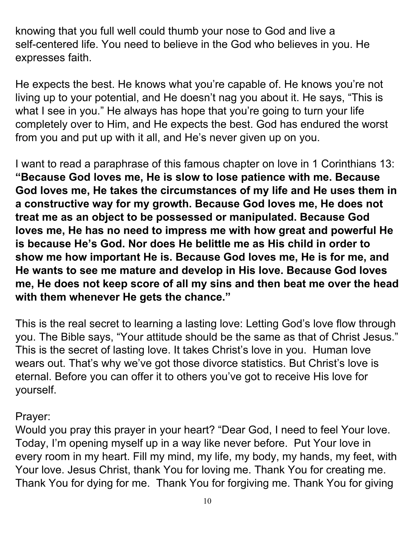knowing that you full well could thumb your nose to God and live a self-centered life. You need to believe in the God who believes in you. He expresses faith.

He expects the best. He knows what you're capable of. He knows you're not living up to your potential, and He doesn't nag you about it. He says, "This is what I see in you." He always has hope that you're going to turn your life completely over to Him, and He expects the best. God has endured the worst from you and put up with it all, and He's never given up on you.

I want to read a paraphrase of this famous chapter on love in 1 Corinthians 13: **"Because God loves me, He is slow to lose patience with me. Because God loves me, He takes the circumstances of my life and He uses them in a constructive way for my growth. Because God loves me, He does not treat me as an object to be possessed or manipulated. Because God loves me, He has no need to impress me with how great and powerful He is because He's God. Nor does He belittle me as His child in order to show me how important He is. Because God loves me, He is for me, and He wants to see me mature and develop in His love. Because God loves me, He does not keep score of all my sins and then beat me over the head with them whenever He gets the chance."**

This is the real secret to learning a lasting love: Letting God's love flow through you. The Bible says, "Your attitude should be the same as that of Christ Jesus." This is the secret of lasting love. It takes Christ's love in you. Human love wears out. That's why we've got those divorce statistics. But Christ's love is eternal. Before you can offer it to others you've got to receive His love for yourself.

#### Prayer:

Would you pray this prayer in your heart? "Dear God, I need to feel Your love. Today, I'm opening myself up in a way like never before. Put Your love in every room in my heart. Fill my mind, my life, my body, my hands, my feet, with Your love. Jesus Christ, thank You for loving me. Thank You for creating me. Thank You for dying for me. Thank You for forgiving me. Thank You for giving